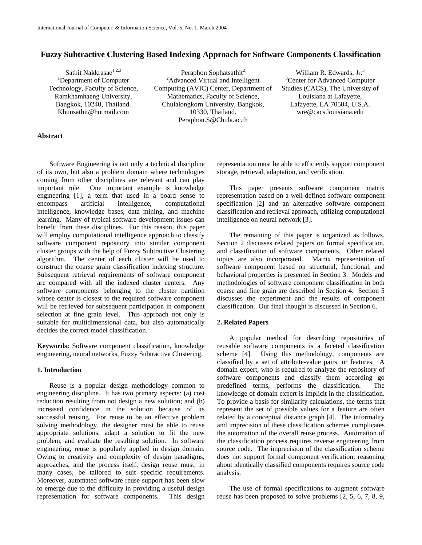# **Fuzzy Subtractive Clustering Based Indexing Approach for Software Components Classification**

Sathit Nakkrasae<sup>1,2,3</sup> <sup>1</sup>Department of Computer Technology, Faculty of Science, Ramkhamhaeng University, Bangkok, 10240, Thailand. Khunsathit@hotmail.com

Peraphon Sophatsathit $2$ <sup>2</sup>Advanced Virtual and Intelligent Computing (AVIC) Center, Department of Mathematics, Faculty of Science, Chulalongkorn University, Bangkok, 10330, Thailand. Peraphon.S@Chula.ac.th

William R. Edwards,  $Jr^3$ <sup>3</sup>Center for Advanced Computer Studies (CACS), The University of Louisiana at Lafayette, Lafayette, LA 70504, U.S.A. wre@cacs.louisiana.edu

## **Abstract**

Software Engineering is not only a technical discipline of its own, but also a problem domain where technologies coming from other disciplines are relevant and can play important role. One important example is knowledge engineering [1], a term that used in a board sense to encompass artificial intelligence, computational intelligence, knowledge bases, data mining, and machine learning. Many of typical software development issues can benefit from these disciplines. For this reason, this paper will employ computational intelligence approach to classify software component repository into similar component cluster groups with the help of Fuzzy Subtractive Clustering algorithm. The center of each cluster will be used to construct the coarse grain classification indexing structure. Subsequent retrieval requirements of software component are compared with all the indexed cluster centers. Any software components belonging to the cluster partition whose center is closest to the required software component will be retrieved for subsequent participation in component selection at fine grain level. This approach not only is suitable for multidimensional data, but also automatically decides the correct model classification.

**Keywords:** Software component classification, knowledge engineering, neural networks, Fuzzy Subtractive Clustering.

### **1. Introduction**

Reuse is a popular design methodology common to engineering discipline. It has two primary aspects: (a) cost reduction resulting from not design a new solution; and (b) increased confidence in the solution because of its successful reusing. For reuse to be an effective problem solving methodology, the designer must be able to reuse appropriate solutions, adapt a solution to fit the new problem, and evaluate the resulting solution. In software engineering, reuse is popularly applied in design domain. Owing to creativity and complexity of design paradigms, approaches, and the process itself, design reuse must, in many cases, be tailored to suit specific requirements. Moreover, automated software reuse support has been slow to emerge due to the difficulty in providing a useful design representation for software components. This design representation must be able to efficiently support component storage, retrieval, adaptation, and verification.

This paper presents software component matrix representation based on a well-defined software component specification [2] and an alternative software component classification and retrieval approach, utilizing computational intelligence on neural network [3].

The remaining of this paper is organized as follows. Section 2 discusses related papers on formal specification, and classification of software components. Other related topics are also incorporated. Matrix representation of software component based on structural, functional, and behavioral properties is presented in Section 3. Models and methodologies of software component classification in both coarse and fine grain are described in Section 4. Section 5 discusses the experiment and the results of component classification. Our final thought is discussed in Section 6.

## **2. Related Papers**

A popular method for describing repositories of reusable software components is a faceted classification scheme [4]. Using this methodology, components are classified by a set of attribute-value pairs, or features. A domain expert, who is required to analyze the repository of software components and classify them according go predefined terms, performs the classification. The knowledge of domain expert is implicit in the classification. To provide a basis for similarity calculations, the terms that represent the set of possible values for a feature are often related by a conceptual distance graph [4]. The informality and imprecision of these classification schemes complicates the automation of the overall reuse process. Automation of the classification process requires reverse engineering from source code. The imprecision of the classification scheme does not support formal component verification; reasoning about identically classified components requires source code analysis.

The use of formal specifications to augment software reuse has been proposed to solve problems [2, 5, 6, 7, 8, 9,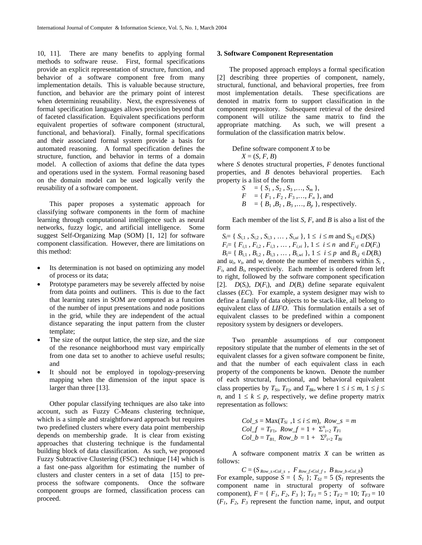10, 11]. There are many benefits to applying formal methods to software reuse. First, formal specifications provide an explicit representation of structure, function, and behavior of a software component free from many implementation details. This is valuable because structure, function, and behavior are the primary point of interest when determining reusability. Next, the expressiveness of formal specification languages allows precision beyond that of faceted classification. Equivalent specifications perform equivalent properties of software component (structural, functional, and behavioral). Finally, formal specifications and their associated formal system provide a basis for automated reasoning. A formal specification defines the structure, function, and behavior in terms of a domain model. A collection of axioms that define the data types and operations used in the system. Formal reasoning based on the domain model can be used logically verify the reusability of a software component.

This paper proposes a systematic approach for classifying software components in the form of machine learning through computational intelligence such as neural networks, fuzzy logic, and artificial intelligence. Some suggest Self-Organizing Map (SOM) [1, 12] for software component classification. However, there are limitations on this method:

- Its determination is not based on optimizing any model of process or its data;
- Prototype parameters may be severely affected by noise from data points and outliners. This is due to the fact that learning rates in SOM are computed as a function of the number of input presentations and node positions in the grid, while they are independent of the actual distance separating the input pattern from the cluster template;
- The size of the output lattice, the step size, and the size of the resonance neighborhood must vary empirically from one data set to another to achieve useful results; and
- It should not be employed in topology-preserving mapping when the dimension of the input space is larger than three [13].

Other popular classifying techniques are also take into account, such as Fuzzy C-Means clustering technique, which is a simple and straightforward approach but requires two predefined clusters where every data point membership depends on membership grade. It is clear from existing approaches that clustering technique is the fundamental building block of data classification. As such, we proposed Fuzzy Subtractive Clustering (FSC) technique [14] which is a fast one-pass algorithm for estimating the number of clusters and cluster centers in a set of data [15] to preprocess the software components. Once the software component groups are formed, classification process can proceed.

#### **3. Software Component Representation**

The proposed approach employs a formal specification [2] describing three properties of component, namely, structural, functional, and behavioral properties, free from most implementation details. These specifications are denoted in matrix form to support classification in the component repository. Subsequent retrieval of the desired component will utilize the same matrix to find the appropriate matching. As such, we will present a formulation of the classification matrix below.

Define software component *X* to be  $X = (S, F, B)$ 

where *S* denotes structural properties, *F* denotes functional properties, and *B* denotes behavioral properties. Each property is a list of the form

$$
S = \{ S_1, S_2, S_3, ..., S_m \},
$$
  
\n
$$
F = \{ F_1, F_2, F_3, ..., F_n \},
$$
 and  
\n
$$
B = \{ B_1, B_2, B_3, ..., B_p \},
$$
 respectively.

Each member of the list *S*, *F*, and *B* is also a list of the form

*S<sub>i</sub>*= { *S<sub>i,1</sub>* , *S<sub>i,2</sub>* , *S<sub>i,3</sub>* , ... , *S<sub>i,ui</sub>* }, 1 ≤ *i* ≤ *m* and S<sub>i,j</sub> ∈ *D*(*S<sub>i</sub>*)  $F_i = \{ F_{i,1}, F_{i,2}, F_{i,3}, \ldots, F_{i,\nu i} \}, 1 \leq i \leq n \text{ and } F_{i,j} \in D(F_i)$  $B_i = \{ B_{i,1}, B_{i,2}, B_{i,3}, \ldots, B_{i,wi} \}, 1 \le i \le p \text{ and } B_{i,j} \in D(B_i)$ and  $u_i$ ,  $v_i$ , and  $w_i$  denote the number of members within  $S_i$ , *Fi*, and *Bi*, respectively. Each member is ordered from left to right, followed by the software component specification [2].  $D(S_i)$ ,  $D(F_i)$ , and  $D(B_i)$  define separate equivalent classes (*EC*). For example, a system designer may wish to define a family of data objects to be stack-like, all belong to equivalent class of *LIFO*. This formulation entails a set of equivalent classes to be predefined within a component repository system by designers or developers.

Two preamble assumptions of our component repository stipulate that the number of elements in the set of equivalent classes for a given software component be finite, and that the number of each equivalent class in each property of the components be known. Denote the number of each structural, functional, and behavioral equivalent class properties by  $T_{Si}$ ,  $T_{Fi}$ , and  $T_{Bk}$ , where  $1 \le i \le m$ ,  $1 \le j \le n$ *n*, and  $1 \leq k \leq p$ , respectively, we define property matrix representation as follows:

 $Col_s = \text{Max}(T_{Si} , 1 \le i \le m)$ ,  $Row_s = m$  $Col\_f = T_{F1}$ ,  $Row\_f = 1 + \sum_{i=2}^{n} T_{Fi}$  $Col\_b = T_{B1}$ ,  $Row\_b = 1 + \sum_{i=2}^{p} T_{Bi}$ 

A software component matrix *X* can be written as follows:

 $C = (S_{Row\_s \times Col\_s}$ ,  $F_{Row\_f \times Col\_f}$ ,  $B_{Row\_b \times Col\_b}$ For example, suppose  $S = \{ S_I \}$ ;  $T_{SI} = 5 (S_I)$  represents the component name in structural property of software component),  $F = \{F_1, F_2, F_3\}$ ;  $T_{F1} = 5$ ;  $T_{F2} = 10$ ;  $T_{F3} = 10$  $(F_1, F_2, F_3$  represent the function name, input, and output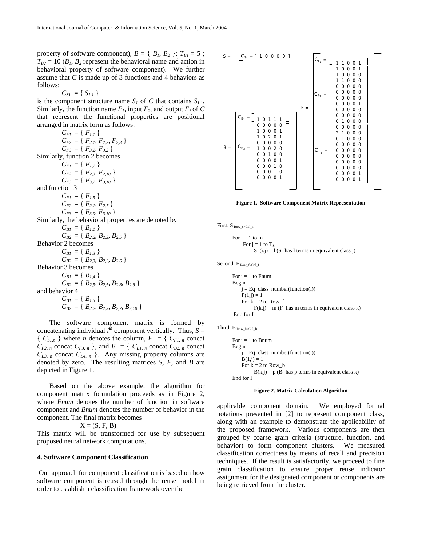property of software component),  $B = \{B_1, B_2\}$ ;  $T_{BI} = 5$ ;  $T_{B2} = 10$  ( $B_1$ ,  $B_2$  represent the behavioral name and action in behavioral property of software component). We further assume that *C* is made up of 3 functions and 4 behaviors as follows:

$$
C_{SI} = \{ S_{I,I} \}
$$

is the component structure name  $S_l$  of *C* that contains  $S_{l,l}$ . Similarly, the function name  $F_1$ , input  $F_2$ , and output  $F_3$  of C that represent the functional properties are positional arranged in matrix form as follows:

 $C_{FI} = \{F_{I,1}\}$  $C_{F2} = \{F_{2,1}, F_{2,2}, F_{2,3}\}$  $C_{F3} = \{ F_{3,2}, F_{3,2} \}$ Similarly, function 2 becomes  $C_{FI} = \{F_{1,2}\}\$  $C_{F2} = \{ F_{2,3}, F_{2,10} \}$  $C_{F3} = \{ F_{3,2}, F_{3,10} \}$ and function 3  $C_{FI} = \{F_{1,5}\}\$  $C_{F2} = \{F_{2,1}, F_{2,7}\}$  $C_{F3} = \{ F_{3,9}, F_{3,10} \}$ Similarly, the behavioral properties are denoted by  $C_{BI} = \{ B_{I,I} \}$  $C_{B2} = \{ B_{2,2}, B_{2,3}, B_{2,5} \}$ Behavior 2 becomes  $C_{BI} = \{ B_{I,3} \}$  $C_{B2} = \{ B_{2,3}, B_{2,3}, B_{2,6} \}$ Behavior 3 becomes  $C_{BI} = \{ B_{I,4} \}$  $C_{B2} = \{ B_{2,5}, B_{2,5}, B_{2,8}, B_{2,9} \}$ and behavior 4  $C_{BI} = \{ B_{I,5} \}$  $C_{B2} = \{ B_{2,2}, B_{2,3}, B_{2,7}, B_{2,10} \}$ 

The software component matrix is formed by concatenating individual  $i^{\hat{h}}$  component vertically. Thus,  $S =$  ${C_{SI,n}}$  where *n* denotes the column,  $F = {C_{FI,n}}$  concat  $C_{F2, n}$  concat  $C_{F3, n}$ , and  $B = \{ C_{BI, n}$  concat  $C_{B2, n}$  concat  $C_{B3, n}$  concat  $C_{B4, n}$  }. Any missing property columns are denoted by zero. The resulting matrices *S*, *F,* and *B* are depicted in Figure 1.

Based on the above example, the algorithm for component matrix formulation proceeds as in Figure 2, where *Fnum* denotes the number of function in software component and *Bnum* denotes the number of behavior in the component. The final matrix becomes

 $X = (S, F, B)$ 

This matrix will be transformed for use by subsequent proposed neural network computations.

#### **4. Software Component Classification**

Our approach for component classification is based on how software component is reused through the reuse model in order to establish a classification framework over the



**Figure 1. Software Component Matrix Representation** 

First: S Row s×Col\_s

```
For i = 1 to m
     For j = 1 to T_{Si}S (i,j) = 1 (S<sub>i</sub> has l terms in equivalent class j)
```
Second:  $F_{Row_f \times Col_f}$ 

```
For i = 1 to Fnum
Begin 
   j = Eq\_class_number(function(i))F(1,j) = 1For k = 2 to Row_f
         F(k,j) = m (F_j has m terms in equivalent class k)
 End for I
```
Third: B Row\_b<sup>×</sup>Col\_b

```
For i = 1 to Bnum
Begin 
    j = Eq\_class_number(function(i))B(1,j) = 1For k = 2 to Row b
         B(k,j) = p(B_j) has p terms in equivalent class k)
End for I
```
#### **Figure 2. Matrix Calculation Algorithm**

applicable component domain. We employed formal notations presented in [2] to represent component class, along with an example to demonstrate the applicability of the proposed framework. Various components are then grouped by coarse grain criteria (structure, function, and behavior) to form component clusters. We measured classification correctness by means of recall and precision techniques. If the result is satisfactorily, we proceed to fine grain classification to ensure proper reuse indicator assignment for the designated component or components are being retrieved from the cluster.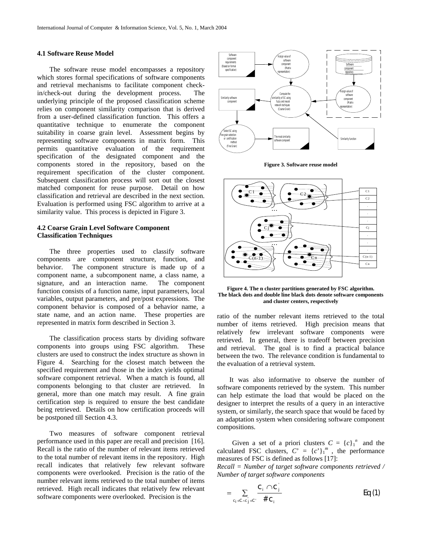## **4.1 Software Reuse Model**

The software reuse model encompasses a repository which stores formal specifications of software components and retrieval mechanisms to facilitate component checkin/check-out during the development process. The underlying principle of the proposed classification scheme relies on component similarity comparison that is derived from a user-defined classification function. This offers a quantitative technique to enumerate the component suitability in coarse grain level. Assessment begins by representing software components in matrix form. This permits quantitative evaluation of the requirement specification of the designated component and the components stored in the repository, based on the requirement specification of the cluster component. Subsequent classification process will sort out the closest matched component for reuse purpose. Detail on how classification and retrieval are described in the next section. Evaluation is performed using FSC algorithm to arrive at a similarity value. This process is depicted in Figure 3.

## **4.2 Coarse Grain Level Software Component Classification Techniques**

The three properties used to classify software components are component structure, function, and behavior. The component structure is made up of a component name, a subcomponent name, a class name, a signature, and an interaction name. The component function consists of a function name, input parameters, local variables, output parameters, and pre/post expressions. The component behavior is composed of a behavior name, a state name, and an action name. These properties are represented in matrix form described in Section 3.

The classification process starts by dividing software components into groups using FSC algorithm. These clusters are used to construct the index structure as shown in Figure 4. Searching for the closest match between the specified requirement and those in the index yields optimal software component retrieval. When a match is found, all components belonging to that cluster are retrieved. In general, more than one match may result. A fine grain certification step is required to ensure the best candidate being retrieved. Details on how certification proceeds will be postponed till Section 4.3.

Two measures of software component retrieval performance used in this paper are recall and precision [16]. Recall is the ratio of the number of relevant items retrieved to the total number of relevant items in the repository. High recall indicates that relatively few relevant software components were overlooked. Precision is the ratio of the number relevant items retrieved to the total number of items retrieved. High recall indicates that relatively few relevant software components were overlooked. Precision is the



**Figure 3. Software reuse model** 



**Figure 4. The n cluster partitions generated by FSC algorithm. The black dots and double line black dots denote software components and cluster centers, respectively** 

ratio of the number relevant items retrieved to the total number of items retrieved. High precision means that relatively few irrelevant software components were retrieved. In general, there is tradeoff between precision and retrieval. The goal is to find a practical balance between the two. The relevance condition is fundamental to the evaluation of a retrieval system.

It was also informative to observe the number of software components retrieved by the system. This number can help estimate the load that would be placed on the designer to interpret the results of a query in an interactive system, or similarly, the search space that would be faced by an adaptation system when considering software component compositions.

Given a set of a priori clusters  $C = {c_1}^n$  and the calculated FSC clusters,  $C' = {c'}_1^m$ , the performance measures of FSC is defined as follows [17]:

*Recall = Number of target software components retrieved / Number of target software components* 

$$
= \sum_{c_j \in C \setminus c_j \in C} \frac{c_j \cap c_j}{\# c_j} \qquad \qquad Eq \textbf{(1)}
$$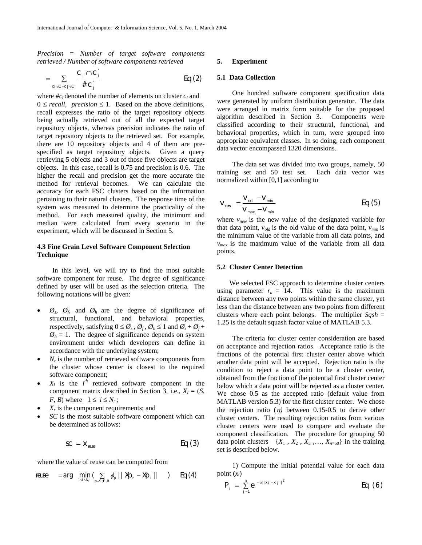*Precision = Number of target software components retrieved / Number of software components retrieved* 

$$
= \sum_{c_j \in C \land c_j' \in C'} \frac{c_j \cap c_j'}{\# c_j'} \qquad \qquad Eq \text{ (2)}
$$

where  $\#c_i$  denoted the number of elements on cluster  $c_i$  and  $0 \le$  *recall, precision*  $\le$  1. Based on the above definitions, recall expresses the ratio of the target repository objects being actually retrieved out of all the expected target repository objects, whereas precision indicates the ratio of target repository objects to the retrieved set. For example, there are 10 repository objects and 4 of them are prespecified as target repository objects. Given a query retrieving 5 objects and 3 out of those five objects are target objects. In this case, recall is 0.75 and precision is 0.6. The higher the recall and precision get the more accurate the method for retrieval becomes. We can calculate the accuracy for each FSC clusters based on the information pertaining to their natural clusters. The response time of the system was measured to determine the practicality of the method. For each measured quality, the minimum and median were calculated from every scenario in the experiment, which will be discussed in Section 5.

## **4.3 Fine Grain Level Software Component Selection Technique**

In this level, we will try to find the most suitable software component for reuse. The degree of significance defined by user will be used as the selection criteria. The following notations will be given:

- $\varnothing$ ,  $\varnothing$ <sub>f</sub>, and  $\varnothing$ <sub>h</sub> are the degree of significance of structural, functional, and behavioral properties, respectively, satisfying  $0 \le \emptyset_s$ ,  $\emptyset_t$ ,  $\emptyset_h \le 1$  and  $\emptyset_s + \emptyset_t +$  $\varnothing_h = 1$ . The degree of significance depends on system environment under which developers can define in accordance with the underlying system;
- $N_r$  is the number of retrieved software components from the cluster whose center is closest to the required software component;
- $X_i$  is the  $i^{th}$  retrieved software component in the component matrix described in Section 3, i.e.,  $X_i = (S,$ *F*, *B*) where  $1 \le i \le N_r$ ;
- $X_r$  is the component requirements; and
- *SC* is the most suitable software component which can be determined as follows:

$$
SC = X_{\text{reuse}} \qquad \qquad Eq \text{ (3)}
$$

where the value of reuse can be computed from

$$
\text{reuse} \quad = \text{arg} \quad \min_{1 \leq i \leq N_f} \big( \sum_{\rho = S, F, B} \phi_{\rho} \mid \mid \mathcal{X}\rho_{\rho} - \mathcal{X}\rho_{\rho} \mid \mid \quad \big) \quad \text{Eq (4)}
$$

#### **5. Experiment**

#### **5.1 Data Collection**

One hundred software component specification data were generated by uniform distribution generator. The data were arranged in matrix form suitable for the proposed algorithm described in Section 3. Components were classified according to their structural, functional, and behavioral properties, which in turn, were grouped into appropriate equivalent classes. In so doing, each component data vector encompassed 1320 dimensions.

The data set was divided into two groups, namely, 50 training set and 50 test set. Each data vector was normalized within [0,1] according to

$$
V_{\text{new}} = \frac{V_{\text{old}} - V_{\text{min}}}{V_{\text{max}} - V_{\text{min}}} \qquad \qquad \text{Eq (5)}
$$

where  $v_{new}$  is the new value of the designated variable for that data point,  $v_{old}$  is the old value of the data point,  $v_{min}$  is the minimum value of the variable from all data points, and  $v_{max}$  is the maximum value of the variable from all data points.

### **5.2 Cluster Center Detection**

We selected FSC approach to determine cluster centers using parameter  $r_a = 14$ . This value is the maximum distance between any two points within the same cluster, yet less than the distance between any two points from different clusters where each point belongs. The multiplier *Sqsh* = 1.25 is the default squash factor value of MATLAB 5.3.

The criteria for cluster center consideration are based on acceptance and rejection ratios. Acceptance ratio is the fractions of the potential first cluster center above which another data point will be accepted. Rejection ratio is the condition to reject a data point to be a cluster center, obtained from the fraction of the potential first cluster center below which a data point will be rejected as a cluster center. We chose 0.5 as the accepted ratio (default value from MATLAB version 5.3) for the first cluster center. We chose the rejection ratio  $(\eta)$  between 0.15-0.5 to derive other cluster centers. The resulting rejection ratios from various cluster centers were used to compare and evaluate the component classification. The procedure for grouping 50 data point clusters  $\{X_1, X_2, X_3, \ldots, X_{n=50}\}$  in the training set is described below.

1) Compute the initial potential value for each data point  $(x_i)$ 

$$
P_{i} = \sum_{j=1}^{n} e^{-\alpha ||x_{i} - x_{j}||^{2}}
$$
 Eq (6)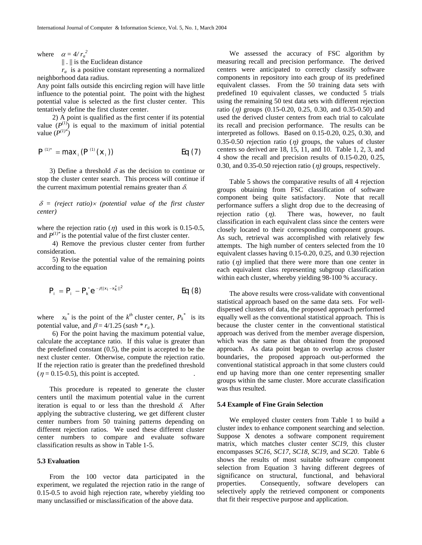where  $\alpha = 4/r_a^2$ 

|| . || is the Euclidean distance

 $r_a$  is a positive constant representing a normalized neighborhood data radius.

Any point falls outside this encircling region will have little influence to the potential point. The point with the highest potential value is selected as the first cluster center. This tentatively define the first cluster center.

2) A point is qualified as the first center if its potential value  $(P^{(1)})$  is equal to the maximum of initial potential value  $(P^{(1)*})$ 

$$
P^{(1)*} = \max_{i} (P^{(1)}(x_i))
$$
 Eq (7)

3) Define a threshold  $\delta$  as the decision to continue or stop the cluster center search. This process will continue if the current maximum potential remains greater than  $\delta$ .

δ *= (reject ratio)*× *(potential value of the first cluster center)*

where the rejection ratio  $(\eta)$  used in this work is 0.15-0.5, and  $P^{(1)*}$  is the potential value of the first cluster center.

4) Remove the previous cluster center from further consideration.

5) Revise the potential value of the remaining points according to the equation

$$
P_{i} = P_{i} - P_{k}^{*} e^{-\beta ||x_{i} - x_{k}^{*}||^{2}}
$$
 Eq (8)

where  $x_k^*$  is the point of the  $k^{th}$  cluster center,  $P_k^*$  is its potential value, and  $\beta = 4/1.25$  (*sash* \*  $r_a$ ).

6) For the point having the maximum potential value, calculate the acceptance ratio. If this value is greater than the predefined constant (0.5), the point is accepted to be the next cluster center. Otherwise, compute the rejection ratio. If the rejection ratio is greater than the predefined threshold  $(\eta = 0.15 - 0.5)$ , this point is accepted.

This procedure is repeated to generate the cluster centers until the maximum potential value in the current iteration is equal to or less than the threshold  $\delta$ . After applying the subtractive clustering, we get different cluster center numbers from 50 training patterns depending on different rejection ratios. We used these different cluster center numbers to compare and evaluate software classification results as show in Table 1-5.

#### **5.3 Evaluation**

From the 100 vector data participated in the experiment, we regulated the rejection ratio in the range of 0.15-0.5 to avoid high rejection rate, whereby yielding too many unclassified or misclassification of the above data.

We assessed the accuracy of FSC algorithm by measuring recall and precision performance. The derived centers were anticipated to correctly classify software components in repository into each group of its predefined equivalent classes. From the 50 training data sets with predefined 10 equivalent classes, we conducted 5 trials using the remaining 50 test data sets with different rejection ratio (η*)* groups (0.15-0.20, 0.25, 0.30, and 0.35-0.50) and used the derived cluster centers from each trial to calculate its recall and precision performance. The results can be interpreted as follows. Based on 0.15-0.20, 0.25, 0.30, and 0.35-0.50 rejection ratio  $(\eta)$  groups, the values of cluster centers so derived are 18, 15, 11, and 10. Table 1, 2, 3, and 4 show the recall and precision results of 0.15-0.20, 0.25, 0.30, and 0.35-0.50 rejection ratio  $(\eta)$  groups, respectively.

Table 5 shows the comparative results of all 4 rejection groups obtaining from FSC classification of software component being quite satisfactory. Note that recall performance suffers a slight drop due to the decreasing of rejection ratio (η*)*. There was, however, no fault classification in each equivalent class since the centers were closely located to their corresponding component groups. As such, retrieval was accomplished with relatively few attempts. The high number of centers selected from the 10 equivalent classes having 0.15-0.20, 0.25, and 0.30 rejection ratio  $(\eta)$  implied that there were more than one center in each equivalent class representing subgroup classification within each cluster, whereby yielding 98-100 % accuracy.

The above results were cross-validate with conventional statistical approach based on the same data sets. For welldispersed clusters of data, the proposed approach performed equally well as the conventional statistical approach. This is because the cluster center in the conventional statistical approach was derived from the member average dispersion, which was the same as that obtained from the proposed approach. As data point began to overlap across cluster boundaries, the proposed approach out-performed the conventional statistical approach in that some clusters could end up having more than one center representing smaller groups within the same cluster. More accurate classification was thus resulted.

## **5.4 Example of Fine Grain Selection**

We employed cluster centers from Table 1 to build a cluster index to enhance component searching and selection. Suppose X denotes a software component requirement matrix, which matches cluster center *SC19*, this cluster encompasses *SC16*, *SC17*, *SC18*, *SC19*, and *SC20*. Table 6 shows the results of most suitable software component selection from Equation 3 having different degrees of significance on structural, functional, and behavioral properties. Consequently, software developers can selectively apply the retrieved component or components that fit their respective purpose and application.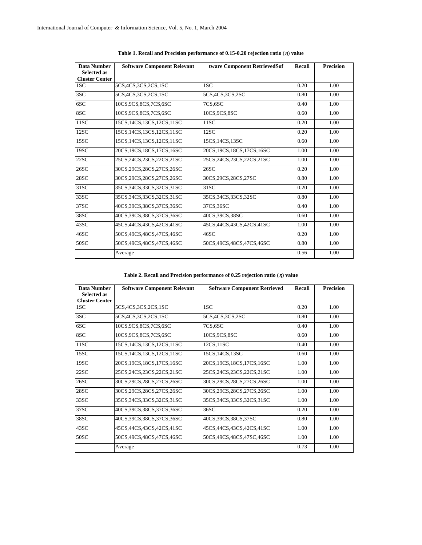| <b>Data Number</b><br><b>Selected as</b> | <b>Software Component Relevant</b> | tware Component RetrievedSof | Recall | <b>Precision</b> |  |
|------------------------------------------|------------------------------------|------------------------------|--------|------------------|--|
| <b>Cluster Center</b>                    |                                    |                              |        |                  |  |
| 1SC                                      | 5CS, 4CS, 3CS, 2CS, 1SC            | 1SC                          | 0.20   | 1.00             |  |
| 3SC                                      | 5CS, 4CS, 3CS, 2CS, 1SC            | 5CS, 4CS, 3CS, 2SC           | 0.80   | 1.00             |  |
| 6SC                                      | 10CS.9CS.8CS.7CS.6SC               | 7CS,6SC                      | 0.40   | 1.00             |  |
| 8SC                                      | 10CS.9CS.8CS.7CS.6SC               | 10CS, 9CS, 8SC               | 0.60   | 1.00             |  |
| 11SC                                     | 15CS, 14CS, 13CS, 12CS, 11SC       | 11SC                         | 0.20   | 1.00             |  |
| 12SC                                     | 15CS, 14CS, 13CS, 12CS, 11SC       | 12SC                         | 0.20   | 1.00             |  |
| 15SC                                     | 15CS.14CS.13CS.12CS.11SC           | 15CS.14CS.13SC               | 0.60   | 1.00             |  |
| 19SC                                     | 20CS, 19CS, 18CS, 17CS, 16SC       | 20CS, 19CS, 18CS, 17CS, 16SC | 1.00   | 1.00             |  |
| 22SC                                     | 25CS, 24CS, 23CS, 22CS, 21SC       | 25CS, 24CS, 23CS, 22CS, 21SC | 1.00   | 1.00             |  |
| 26SC                                     | 30CS, 29CS, 28CS, 27CS, 26SC       | 26SC                         | 0.20   | 1.00             |  |
| 28SC                                     | 30CS, 29CS, 28CS, 27CS, 26SC       | 30CS, 29CS, 28CS, 27SC       | 0.80   | 1.00             |  |
| 31SC                                     | 35CS, 34CS, 33CS, 32CS, 31SC       | 31SC                         | 0.20   | 1.00             |  |
| 33SC                                     | 35CS, 34CS, 33CS, 32CS, 31SC       | 35CS, 34CS, 33CS, 32SC       | 0.80   | 1.00             |  |
| 37SC                                     | 40CS, 39CS, 38CS, 37CS, 36SC       | 37CS, 36SC                   | 0.40   | 1.00             |  |
| 38SC                                     | 40CS, 39CS, 38CS, 37CS, 36SC       | 40CS,39CS,38SC               | 0.60   | 1.00             |  |
| 43SC                                     | 45CS, 44CS, 43CS, 42CS, 41SC       | 45CS, 44CS, 43CS, 42CS, 41SC | 1.00   | 1.00             |  |
| 46SC                                     | 50CS, 49CS, 48CS, 47CS, 46SC       | 46SC                         | 0.20   | 1.00             |  |
| 50SC                                     | 50CS, 49CS, 48CS, 47CS, 46SC       | 50CS, 49CS, 48CS, 47CS, 46SC | 0.80   | 1.00             |  |
|                                          | Average                            |                              | 0.56   | 1.00             |  |

|  |  | Table 1. Recall and Precision performance of 0.15-0.20 rejection ratio ( $\eta$ ) value |  |  |  |
|--|--|-----------------------------------------------------------------------------------------|--|--|--|
|  |  |                                                                                         |  |  |  |

## **Table 2. Recall and Precision performance of 0.25 rejection ratio** (η) **value**

| Data Number                                 | <b>Software Component Relevant</b> | <b>Software Component Retrieved</b> | Recall | <b>Precision</b> |
|---------------------------------------------|------------------------------------|-------------------------------------|--------|------------------|
| <b>Selected as</b><br><b>Cluster Center</b> |                                    |                                     |        |                  |
| 1SC                                         | 5CS, 4CS, 3CS, 2CS, 1SC            | 1SC                                 | 0.20   | 1.00             |
| 3SC                                         | 5CS, 4CS, 3CS, 2CS, 1SC            | 5CS, 4CS, 3CS, 2SC                  | 0.80   | 1.00             |
| 6SC                                         | 10CS.9CS.8CS.7CS.6SC               | 7CS,6SC                             | 0.40   | 1.00             |
| 8SC                                         | 10CS.9CS.8CS.7CS.6SC               | 10CS, 9CS, 8SC                      | 0.60   | 1.00             |
| 11SC                                        | 15CS, 14CS, 13CS, 12CS, 11SC       | 12CS, 11SC                          | 0.40   | 1.00             |
| 15SC                                        | 15CS, 14CS, 13CS, 12CS, 11SC       | 15CS, 14CS, 13SC                    | 0.60   | 1.00             |
| 19SC                                        | 20CS, 19CS, 18CS, 17CS, 16SC       | 20CS, 19CS, 18CS, 17CS, 16SC        | 1.00   | 1.00             |
| 22SC                                        | 25CS,24CS,23CS,22CS,21SC           | 25CS, 24CS, 23CS, 22CS, 21SC        | 1.00   | 1.00             |
| 26SC                                        | 30CS,29CS,28CS,27CS,26SC           | 30CS, 29CS, 28CS, 27CS, 26SC        | 1.00   | 1.00             |
| 28SC                                        | 30CS,29CS,28CS,27CS,26SC           | 30CS, 29CS, 28CS, 27CS, 26SC        | 1.00   | 1.00             |
| 33SC                                        | 35CS,34CS,33CS,32CS,31SC           | 35CS, 34CS, 33CS, 32CS, 31SC        | 1.00   | 1.00             |
| 37SC                                        | 40CS, 39CS, 38CS, 37CS, 36SC       | 36SC                                | 0.20   | 1.00             |
| 38SC                                        | 40CS, 39CS, 38CS, 37CS, 36SC       | 40CS, 39CS, 38CS, 37SC              | 0.80   | 1.00             |
| 43SC                                        | 45CS, 44CS, 43CS, 42CS, 41SC       | 45CS, 44CS, 43CS, 42CS, 41SC        | 1.00   | 1.00             |
| 50SC                                        | 50CS, 49CS, 48CS, 47CS, 46SC       | 50CS, 49CS, 48CS, 47SC, 46SC        | 1.00   | 1.00             |
|                                             | Average                            |                                     | 0.73   | 1.00             |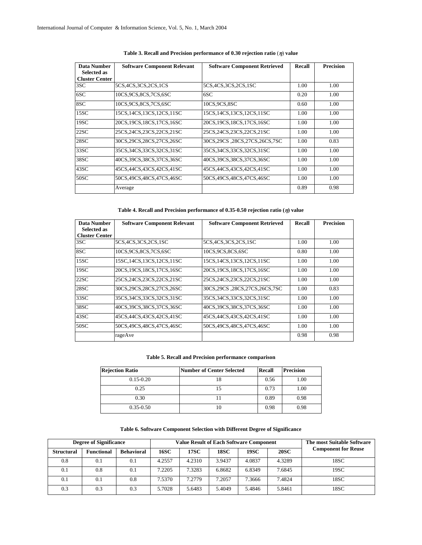| <b>Data Number</b><br><b>Selected as</b> | <b>Software Component Relevant</b> | <b>Software Component Retrieved</b> | Recall | <b>Precision</b> |  |
|------------------------------------------|------------------------------------|-------------------------------------|--------|------------------|--|
| <b>Cluster Center</b>                    |                                    |                                     |        |                  |  |
| 3SC                                      | 5CS, 4CS, 3CS, 2CS, 1CS            | 5CS, 4CS, 3CS, 2CS, 1SC             | 1.00   | 1.00             |  |
| 6SC                                      | 10CS.9CS.8CS.7CS.6SC               | 6SC                                 | 0.20   | 1.00             |  |
| 8SC                                      | 10CS.9CS.8CS.7CS.6SC               | 10CS, 9CS, 8SC                      | 0.60   | 1.00             |  |
| 15SC                                     | 15CS, 14CS, 13CS, 12CS, 11SC       | 15CS, 14CS, 13CS, 12CS, 11SC        | 1.00   | 1.00             |  |
| 19SC                                     | 20CS, 19CS, 18CS, 17CS, 16SC       | 20CS, 19CS, 18CS, 17CS, 16SC        | 1.00   | 1.00             |  |
| 22SC                                     | 25CS, 24CS, 23CS, 22CS, 21SC       | 25CS,24CS,23CS,22CS,21SC            | 1.00   | 1.00             |  |
| 28SC                                     | 30CS, 29CS, 28CS, 27CS, 26SC       | 30CS,29CS,28CS,27CS,26CS,7SC        | 1.00   | 0.83             |  |
| 33SC                                     | 35CS, 34CS, 33CS, 32CS, 31SC       | 35CS, 34CS, 33CS, 32CS, 31SC        | 1.00   | 1.00             |  |
| 38SC                                     | 40CS.39CS.38CS.37CS.36SC           | 40CS.39CS.38CS.37CS.36SC            | 1.00   | 1.00             |  |
| 43SC                                     | 45CS, 44CS, 43CS, 42CS, 41SC       | 45CS, 44CS, 43CS, 42CS, 41SC        | 1.00   | 1.00             |  |
| 50SC                                     | 50CS,49CS,48CS,47CS,46SC           | 50CS, 49CS, 48CS, 47CS, 46SC        | 1.00   | 1.00             |  |
|                                          | Average                            |                                     | 0.89   | 0.98             |  |

## **Table 3. Recall and Precision performance of 0.30 rejection ratio** (η) **value**

**Table 4. Recall and Precision performance of 0.35-0.50 rejection ratio (**η**) value** 

| <b>Data Number</b><br><b>Selected as</b><br><b>Cluster Center</b> | <b>Software Component Relevant</b> | <b>Software Component Retrieved</b> | Recall | <b>Precision</b> |
|-------------------------------------------------------------------|------------------------------------|-------------------------------------|--------|------------------|
| 3SC.                                                              | 5CS, 4CS, 3CS, 2CS, 1SC            | 5CS, 4CS, 3CS, 2CS, 1SC             | 1.00   | 1.00             |
| 8SC                                                               | 10CS.9CS.8CS.7CS.6SC               | 10CS, 9CS, 8CS, 6SC                 | 0.80   | 1.00             |
| 15SC                                                              | 15SC, 14CS, 13CS, 12CS, 11SC       | 15CS, 14CS, 13CS, 12CS, 11SC        | 1.00   | 1.00             |
| 19SC                                                              | 20CS, 19CS, 18CS, 17CS, 16SC       | 20CS, 19CS, 18CS, 17CS, 16SC        | 1.00   | 1.00             |
| 22SC                                                              | 25CS.24CS.23CS.22CS.21SC           | 25CS, 24CS, 23CS, 22CS, 21SC        | 1.00   | 1.00             |
| 28SC                                                              | 30CS, 29CS, 28CS, 27CS, 26SC       | 30CS, 29CS, 28CS, 27CS, 26CS, 7SC   | 1.00   | 0.83             |
| 33SC                                                              | 35CS, 34CS, 33CS, 32CS, 31SC       | 35CS, 34CS, 33CS, 32CS, 31SC        | 1.00   | 1.00             |
| 38SC                                                              | 40CS, 39CS, 38CS, 37CS, 36SC       | 40CS, 39CS, 38CS, 37CS, 36SC        | 1.00   | 1.00             |
| 43SC                                                              | 45CS, 44CS, 43CS, 42CS, 41SC       | 45CS, 44CS, 43CS, 42CS, 41SC        | 1.00   | 1.00             |
| 50SC                                                              | 50CS.49CS,48CS,47CS,46SC           | 50CS, 49CS, 48CS, 47CS, 46SC        | 1.00   | 1.00             |
|                                                                   | rageAve                            |                                     | 0.98   | 0.98             |

### **Table 5. Recall and Precision performance comparison**

| <b>Rejection Ratio</b> | Number of Center Selected | Recall | <b>Precision</b> |
|------------------------|---------------------------|--------|------------------|
| $0.15 - 0.20$          | 18                        | 0.56   | 1.00             |
| 0.25                   |                           | 0.73   | 1.00             |
| 0.30                   |                           | 0.89   | 0.98             |
| $0.35 - 0.50$          | 10                        | 0.98   | 0.98             |

**Table 6. Software Component Selection with Different Degree of Significance** 

| <b>Degree of Significance</b> |                   |                   | <b>Value Result of Each Software Component</b> |        |             |        |             | <b>The most Suitable Software</b> |
|-------------------------------|-------------------|-------------------|------------------------------------------------|--------|-------------|--------|-------------|-----------------------------------|
| <b>Structural</b>             | <b>Functional</b> | <b>Behavioral</b> | 16SC                                           | 17SC   | <b>18SC</b> | 19SC   | <b>20SC</b> | <b>Component for Reuse</b>        |
| 0.8                           | 0.1               | 0.1               | 4.2557                                         | 4.2310 | 3.9437      | 4.0837 | 4.3289      | 18SC                              |
| 0.1                           | 0.8               | 0.1               | 7.2205                                         | 7.3283 | 6.8682      | 6.8349 | 7.6845      | 19SC                              |
| 0.1                           | 0.1               | 0.8               | 1.5370                                         | 7.2779 | 7.2057      | 7.3666 | 7.4824      | 18SC                              |
| 0.3                           | 0.3               | 0.3               | 5.7028                                         | 5.6483 | 5.4049      | 5.4846 | 5.8461      | 18SC                              |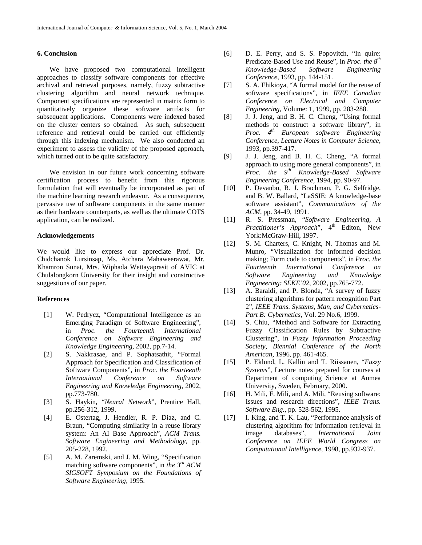## **6. Conclusion**

We have proposed two computational intelligent approaches to classify software components for effective archival and retrieval purposes, namely, fuzzy subtractive clustering algorithm and neural network technique. Component specifications are represented in matrix form to quantitatively organize these software artifacts for subsequent applications. Components were indexed based on the cluster centers so obtained. As such, subsequent reference and retrieval could be carried out efficiently through this indexing mechanism. We also conducted an experiment to assess the validity of the proposed approach, which turned out to be quite satisfactory.

We envision in our future work concerning software certification process to benefit from this rigorous formulation that will eventually be incorporated as part of the machine learning research endeavor. As a consequence, pervasive use of software components in the same manner as their hardware counterparts, as well as the ultimate COTS application, can be realized.

#### **Acknowledgements**

We would like to express our appreciate Prof. Dr. Chidchanok Lursinsap, Ms. Atchara Mahaweerawat, Mr. Khamron Sunat, Mrs. Wiphada Wettayaprasit of AVIC at Chulalongkorn University for their insight and constructive suggestions of our paper.

## **References**

- [1] W. Pedrycz, "Computational Intelligence as an Emerging Paradigm of Software Engineering", in *Proc. the Fourteenth International Conference on Software Engineering and Knowledge Engineering*, 2002, pp.7-14.
- [2] S. Nakkrasae, and P. Sophatsathit, "Formal Approach for Specification and Classification of Software Components", in *Proc. the Fourteenth International Conference on Software Engineering and Knowledge Engineering*, 2002, pp.773-780.
- [3] S. Haykin, "*Neural Network*", Prentice Hall, pp.256-312, 1999.
- [4] E. Ostertag, J. Hendler, R. P. Diaz, and C. Braun, "Computing similarity in a reuse library system: An AI Base Approach", *ACM Trans. Software Engineering and Methodology*, pp. 205-228, 1992.
- [5] A. M. Zaremski, and J. M. Wing, "Specification matching software components", in *the 3rd ACM SIGSOFT Symposium on the Foundations of Software Engineering*, 1995.
- [6] D. E. Perry, and S. S. Popovitch, "In quire: Predicate-Based Use and Reuse", in *Proc. the 8th Knowledge-Based Software Engineering Conference*, 1993, pp. 144-151.
- [7] S. A. Ehikioya, "A formal model for the reuse of software specifications", in *IEEE Canadian Conference on Electrical and Computer Engineering*, Volume: 1, 1999, pp. 283-288.
- [8] J. J. Jeng, and B. H. C. Cheng, "Using formal methods to construct a software library", in *Proc. 4th European software Engineering Conference, Lecture Notes in Computer Science*, 1993, pp.397-417.
- [9] J. J. Jeng, and B. H. C. Cheng, "A formal approach to using more general components", in *Proc. the 9th Knowledge-Based Software Engineering Conference*, 1994, pp. 90-97.
- [10] P. Devanbu, R. J. Brachman, P. G. Selfridge, and B. W. Ballard, "LaSSIE: A knowledge-base software assistant", *Communications of the ACM*, pp. 34-49, 1991.
- [11] R. S. Pressman, "*Software Engineering, A Practitioner's Approach*", 4<sup>th</sup> Editon, New York:McGraw-Hill, 1997.
- [12] S. M. Charters, C. Knight, N. Thomas and M. Munro, "Visualization for informed decision making; Form code to components", in *Proc. the Fourteenth International Conference on Software Engineering and Knowledge Engineering: SEKE'02*, 2002, pp.765-772.
- [13] A. Baraldi, and P. Blonda, "A survey of fuzzy clustering algorithms for pattern recognition Part 2", *IEEE Trans. Systems, Man, and Cybernetics-Part B: Cybernetics,* Vol. 29 No.6, 1999.
- [14] S. Chiu, "Method and Software for Extracting Fuzzy Classification Rules by Subtractive Clustering", in *Fuzzy Information Proceeding Society, Biennial Conference of the North American*, 1996, pp. 461-465.
- [15] P. Eklund, L. Kallin and T. Riissanen, "*Fuzzy Systems*", Lecture notes prepared for courses at Department of computing Science at Aumea University, Sweden, February, 2000.
- [16] H. Mili, F. Mili, and A. Mili, "Reusing software: Issues and research directions", *IEEE Trans. Software Eng.,* pp. 528-562, 1995.
- [17] I. King, and T. K. Lau, "Performance analysis of clustering algorithm for information retrieval in image databases", *International Joint Conference on IEEE World Congress on Computational Intelligence*, 1998, pp.932-937.